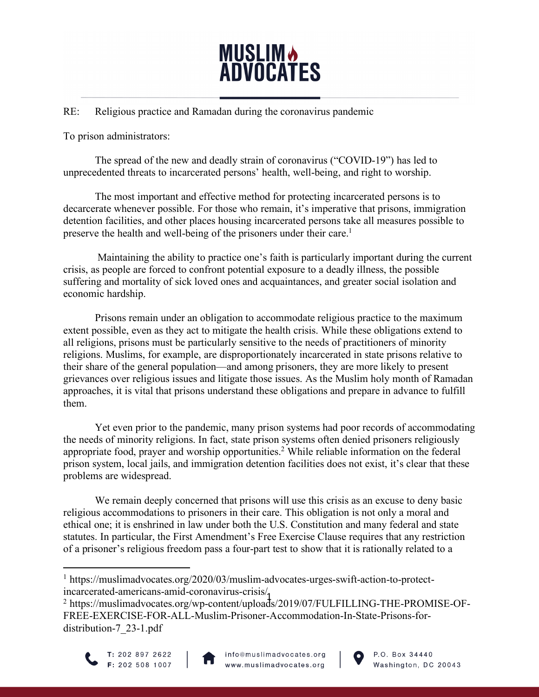

### RE: Religious practice and Ramadan during the coronavirus pandemic

To prison administrators:

The spread of the new and deadly strain of coronavirus ("COVID-19") has led to unprecedented threats to incarcerated persons' health, well-being, and right to worship.

The most important and effective method for protecting incarcerated persons is to decarcerate whenever possible. For those who remain, it's imperative that prisons, immigration detention facilities, and other places housing incarcerated persons take all measures possible to preserve the health and well-being of the prisoners under their care.<sup>1</sup>

Maintaining the ability to practice one's faith is particularly important during the current crisis, as people are forced to confront potential exposure to a deadly illness, the possible suffering and mortality of sick loved ones and acquaintances, and greater social isolation and economic hardship.

Prisons remain under an obligation to accommodate religious practice to the maximum extent possible, even as they act to mitigate the health crisis. While these obligations extend to all religions, prisons must be particularly sensitive to the needs of practitioners of minority religions. Muslims, for example, are disproportionately incarcerated in state prisons relative to their share of the general population—and among prisoners, they are more likely to present grievances over religious issues and litigate those issues. As the Muslim holy month of Ramadan approaches, it is vital that prisons understand these obligations and prepare in advance to fulfill them.

Yet even prior to the pandemic, many prison systems had poor records of accommodating the needs of minority religions. In fact, state prison systems often denied prisoners religiously appropriate food, prayer and worship opportunities.<sup>2</sup> While reliable information on the federal prison system, local jails, and immigration detention facilities does not exist, it's clear that these problems are widespread.

We remain deeply concerned that prisons will use this crisis as an excuse to deny basic religious accommodations to prisoners in their care. This obligation is not only a moral and ethical one; it is enshrined in law under both the U.S. Constitution and many federal and state statutes. In particular, the First Amendment's Free Exercise Clause requires that any restriction of a prisoner's religious freedom pass a four-part test to show that it is rationally related to a

ncarcerated-americans-amid-coronavirus-crisis/1<br><sup>2</sup> https://muslimadvocates.org/wp-content/uploads/2019/07/FULFILLING-THE-PROMISE-OF-FREE-EXERCISE-FOR-ALL-Muslim-Prisoner-Accommodation-In-State-Prisons-fordistribution-7\_23-1.pdf







<sup>1</sup> https://muslimadvocates.org/2020/03/muslim-advocates-urges-swift-action-to-protectincarcerated-americans-amid-coronavirus-crisis/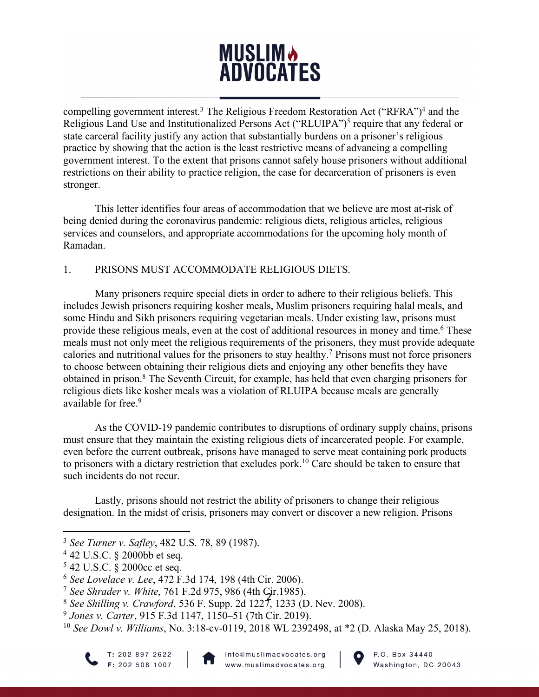# **MUSLIM<sup>b</sup> ADVOCATES**

compelling government interest.<sup>3</sup> The Religious Freedom Restoration Act ("RFRA")<sup>4</sup> and the Religious Land Use and Institutionalized Persons Act ("RLUIPA")<sup>5</sup> require that any federal or state carceral facility justify any action that substantially burdens on a prisoner's religious practice by showing that the action is the least restrictive means of advancing a compelling government interest. To the extent that prisons cannot safely house prisoners without additional restrictions on their ability to practice religion, the case for decarceration of prisoners is even stronger.

This letter identifies four areas of accommodation that we believe are most at-risk of being denied during the coronavirus pandemic: religious diets, religious articles, religious services and counselors, and appropriate accommodations for the upcoming holy month of Ramadan.

### 1. PRISONS MUST ACCOMMODATE RELIGIOUS DIETS.

Many prisoners require special diets in order to adhere to their religious beliefs. This includes Jewish prisoners requiring kosher meals, Muslim prisoners requiring halal meals, and some Hindu and Sikh prisoners requiring vegetarian meals. Under existing law, prisons must provide these religious meals, even at the cost of additional resources in money and time.<sup>6</sup> These meals must not only meet the religious requirements of the prisoners, they must provide adequate calories and nutritional values for the prisoners to stay healthy.7 Prisons must not force prisoners to choose between obtaining their religious diets and enjoying any other benefits they have obtained in prison.8 The Seventh Circuit, for example, has held that even charging prisoners for religious diets like kosher meals was a violation of RLUIPA because meals are generally available for free.<sup>9</sup>

As the COVID-19 pandemic contributes to disruptions of ordinary supply chains, prisons must ensure that they maintain the existing religious diets of incarcerated people. For example, even before the current outbreak, prisons have managed to serve meat containing pork products to prisoners with a dietary restriction that excludes pork.10 Care should be taken to ensure that such incidents do not recur.

Lastly, prisons should not restrict the ability of prisoners to change their religious designation. In the midst of crisis, prisoners may convert or discover a new religion. Prisons





<sup>3</sup> *See Turner v. Safley*, 482 U.S. 78, 89 (1987).

<sup>4</sup> 42 U.S.C. § 2000bb et seq.

<sup>5</sup> 42 U.S.C. § 2000cc et seq.

<sup>6</sup> *See Lovelace v. Lee*, 472 F.3d 174, 198 (4th Cir. 2006).

<sup>7</sup> *See Shrader v. White*, 761 F.2d 975, 986 (4th Cir.1985).

<sup>2</sup> <sup>8</sup> *See Shilling v. Crawford*, 536 F. Supp. 2d 1227, 1233 (D. Nev. 2008).

<sup>9</sup> *Jones v. Carter*, 915 F.3d 1147, 1150–51 (7th Cir. 2019).

<sup>10</sup> *See Dowl v. Williams*, No. 3:18-cv-0119, 2018 WL 2392498, at \*2 (D. Alaska May 25, 2018).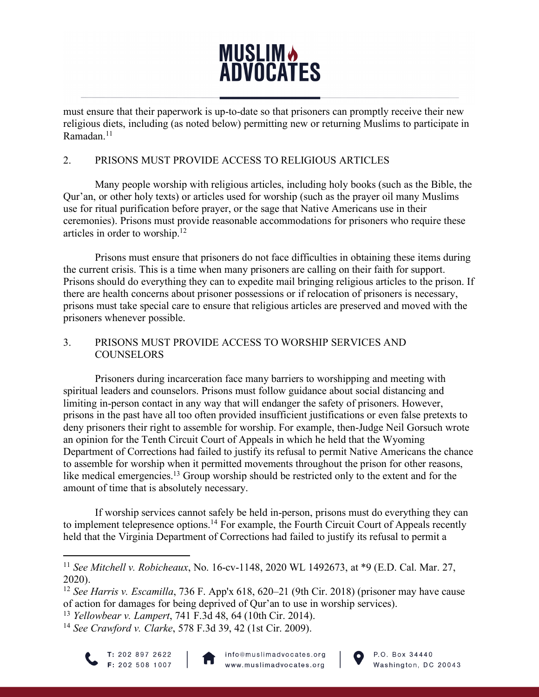# **MUSLIM & ADVOCATES**

must ensure that their paperwork is up-to-date so that prisoners can promptly receive their new religious diets, including (as noted below) permitting new or returning Muslims to participate in Ramadan<sup>11</sup>

### 2. PRISONS MUST PROVIDE ACCESS TO RELIGIOUS ARTICLES

Many people worship with religious articles, including holy books (such as the Bible, the Qur'an, or other holy texts) or articles used for worship (such as the prayer oil many Muslims use for ritual purification before prayer, or the sage that Native Americans use in their ceremonies). Prisons must provide reasonable accommodations for prisoners who require these articles in order to worship.12

Prisons must ensure that prisoners do not face difficulties in obtaining these items during the current crisis. This is a time when many prisoners are calling on their faith for support. Prisons should do everything they can to expedite mail bringing religious articles to the prison. If there are health concerns about prisoner possessions or if relocation of prisoners is necessary, prisons must take special care to ensure that religious articles are preserved and moved with the prisoners whenever possible.

### 3. PRISONS MUST PROVIDE ACCESS TO WORSHIP SERVICES AND **COUNSELORS**

Prisoners during incarceration face many barriers to worshipping and meeting with spiritual leaders and counselors. Prisons must follow guidance about social distancing and limiting in-person contact in any way that will endanger the safety of prisoners. However, prisons in the past have all too often provided insufficient justifications or even false pretexts to deny prisoners their right to assemble for worship. For example, then-Judge Neil Gorsuch wrote an opinion for the Tenth Circuit Court of Appeals in which he held that the Wyoming Department of Corrections had failed to justify its refusal to permit Native Americans the chance to assemble for worship when it permitted movements throughout the prison for other reasons, like medical emergencies.<sup>13</sup> Group worship should be restricted only to the extent and for the amount of time that is absolutely necessary.

If worship services cannot safely be held in-person, prisons must do everything they can to implement telepresence options.<sup>14</sup> For example, the Fourth Circuit Court of Appeals recently held that the Virginia Department of Corrections had failed to justify its refusal to permit a

<sup>14</sup> *See Crawford v. Clarke*, 578 F.3d 39, 42 (1st Cir. 2009).







<sup>11</sup> *See Mitchell v. Robicheaux*, No. 16-cv-1148, 2020 WL 1492673, at \*9 (E.D. Cal. Mar. 27, 2020).

See Harris *v*. Escamula, 750 F. App x 016, 020–21 (9th Cn. 2018) (prisoner is of action for damages for being deprived of Qur'an to use in worship services). <sup>12</sup> *See Harris v. Escamilla*, 736 F. App'x 618, 620–21 (9th Cir. 2018) (prisoner may have cause

<sup>13</sup> *Yellowbear v. Lampert*, 741 F.3d 48, 64 (10th Cir. 2014).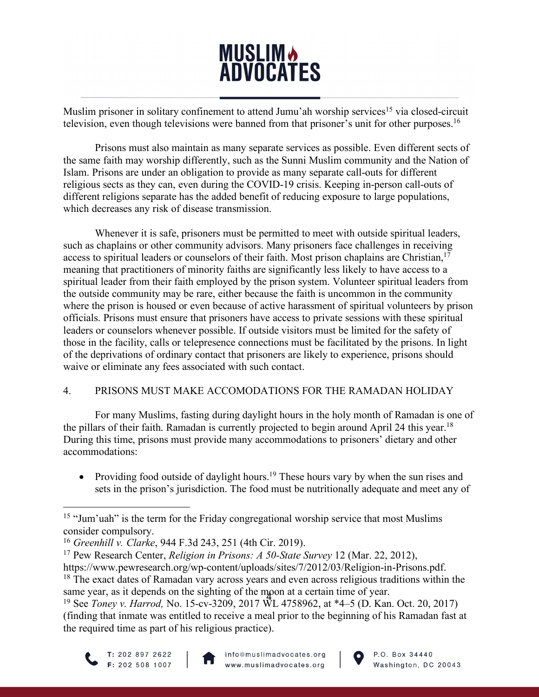# **MUSLIM & ADVOCATES**

Muslim prisoner in solitary confinement to attend Jumu'ah worship services<sup>15</sup> via closed-circuit television, even though televisions were banned from that prisoner's unit for other purposes.16

Prisons must also maintain as many separate services as possible. Even different sects of the same faith may worship differently, such as the Sunni Muslim community and the Nation of Islam. Prisons are under an obligation to provide as many separate call-outs for different religious sects as they can, even during the COVID-19 crisis. Keeping in-person call-outs of different religions separate has the added benefit of reducing exposure to large populations, which decreases any risk of disease transmission.

Whenever it is safe, prisoners must be permitted to meet with outside spiritual leaders, such as chaplains or other community advisors. Many prisoners face challenges in receiving access to spiritual leaders or counselors of their faith. Most prison chaplains are Christian,<sup>17</sup> meaning that practitioners of minority faiths are significantly less likely to have access to a spiritual leader from their faith employed by the prison system. Volunteer spiritual leaders from the outside community may be rare, either because the faith is uncommon in the community where the prison is housed or even because of active harassment of spiritual volunteers by prison officials. Prisons must ensure that prisoners have access to private sessions with these spiritual leaders or counselors whenever possible. If outside visitors must be limited for the safety of those in the facility, calls or telepresence connections must be facilitated by the prisons. In light of the deprivations of ordinary contact that prisoners are likely to experience, prisons should waive or eliminate any fees associated with such contact.

## 4. PRISONS MUST MAKE ACCOMODATIONS FOR THE RAMADAN HOLIDAY

For many Muslims, fasting during daylight hours in the holy month of Ramadan is one of the pillars of their faith. Ramadan is currently projected to begin around April 24 this year.<sup>18</sup> During this time, prisons must provide many accommodations to prisoners' dietary and other accommodations:

• Providing food outside of daylight hours.<sup>19</sup> These hours vary by when the sun rises and sets in the prison's jurisdiction. The food must be nutritionally adequate and meet any of

<sup>4</sup> <sup>19</sup> See *Toney v. Harrod,* No. 15-cv-3209, 2017 WL 4758962, at \*4–5 (D. Kan. Oct. 20, 2017) (finding that inmate was entitled to receive a meal prior to the beginning of his Ramadan fast at the required time as part of his religious practice).







<sup>&</sup>lt;sup>15</sup> "Jum'uah" is the term for the Friday congregational worship service that most Muslims consider compulsory.

<sup>16</sup> *Greenhill v. Clarke*, 944 F.3d 243, 251 (4th Cir. 2019).

<sup>17</sup> Pew Research Center, *Religion in Prisons: A 50-State Survey* 12 (Mar. 22, 2012),

https://www.pewresearch.org/wp-content/uploads/sites/7/2012/03/Religion-in-Prisons.pdf. <sup>18</sup> The exact dates of Ramadan vary across years and even across religious traditions within the same year, as it depends on the sighting of the moon at a certain time of year.